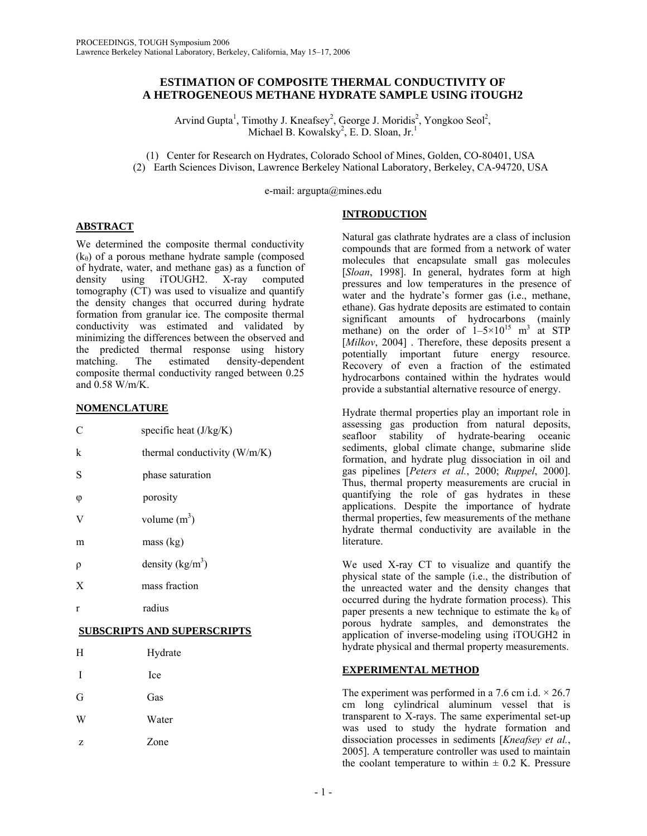### **ESTIMATION OF COMPOSITE THERMAL CONDUCTIVITY OF A HETROGENEOUS METHANE HYDRATE SAMPLE USING iTOUGH2**

Arvind Gupta<sup>1</sup>, Timothy J. Kneafsey<sup>2</sup>, George J. Moridis<sup>2</sup>, Yongkoo Seol<sup>2</sup>, Michael B. Kowalsky<sup>2</sup>, E. D. Sloan, Jr.<sup>1</sup>

(1) Center for Research on Hydrates, Colorado School of Mines, Golden, CO-80401, USA (2) Earth Sciences Divison, Lawrence Berkeley National Laboratory, Berkeley, CA-94720, USA

e-mail: argupta@mines.edu

# **INTRODUCTION**

# **ABSTRACT**

We determined the composite thermal conductivity  $(k_{\theta})$  of a porous methane hydrate sample (composed of hydrate, water, and methane gas) as a function of density using iTOUGH2. X-ray computed tomography (CT) was used to visualize and quantify the density changes that occurred during hydrate formation from granular ice. The composite thermal conductivity was estimated and validated by minimizing the differences between the observed and the predicted thermal response using history matching. The estimated density-dependent composite thermal conductivity ranged between 0.25 and 0.58 W/m/K.

## **NOMENCLATURE**

| $\mathcal{C}$                 | specific heat $(J/kg/K)$       |  |
|-------------------------------|--------------------------------|--|
| k                             | thermal conductivity $(W/m/K)$ |  |
| S                             | phase saturation               |  |
| $\varphi$                     | porosity                       |  |
| V                             | volume $(m^3)$                 |  |
| m                             | mass (kg)                      |  |
| $\rho$                        | density $(kg/m^3)$             |  |
| $\boldsymbol{X}$              | mass fraction                  |  |
| $\mathbf{r}$                  | radius                         |  |
| CONTREGULATE CLIEFEQUE ENTREG |                                |  |

# **SUBSCRIPTS AND SUPERSCRIPTS**

| Η           | Hydrate |
|-------------|---------|
| $\mathbf I$ | Ice     |
| G           | Gas     |
| W           | Water   |
| z           | Zone    |

Natural gas clathrate hydrates are a class of inclusion compounds that are formed from a network of water molecules that encapsulate small gas molecules [*Sloan*, 1998]. In general, hydrates form at high pressures and low temperatures in the presence of water and the hydrate's former gas (i.e., methane, ethane). Gas hydrate deposits are estimated to contain significant amounts of hydrocarbons (mainly methane) on the order of  $1-5\times10^{15}$  m<sup>3</sup> at STP [*Milkov*, 2004]. Therefore, these deposits present a potentially important future energy resource. Recovery of even a fraction of the estimated hydrocarbons contained within the hydrates would provide a substantial alternative resource of energy.

Hydrate thermal properties play an important role in assessing gas production from natural deposits, seafloor stability of hydrate-bearing oceanic sediments, global climate change, submarine slide formation, and hydrate plug dissociation in oil and gas pipelines [*Peters et al.*, 2000; *Ruppel*, 2000]. Thus, thermal property measurements are crucial in quantifying the role of gas hydrates in these applications. Despite the importance of hydrate thermal properties, few measurements of the methane hydrate thermal conductivity are available in the literature.

We used X-ray CT to visualize and quantify the physical state of the sample (i.e., the distribution of the unreacted water and the density changes that occurred during the hydrate formation process). This paper presents a new technique to estimate the  $k_{\theta}$  of porous hydrate samples, and demonstrates the application of inverse-modeling using iTOUGH2 in hydrate physical and thermal property measurements.

# **EXPERIMENTAL METHOD**

The experiment was performed in a 7.6 cm i.d.  $\times$  26.7 cm long cylindrical aluminum vessel that is transparent to X-rays. The same experimental set-up was used to study the hydrate formation and dissociation processes in sediments [*Kneafsey et al.*, 2005]. A temperature controller was used to maintain the coolant temperature to within  $\pm$  0.2 K. Pressure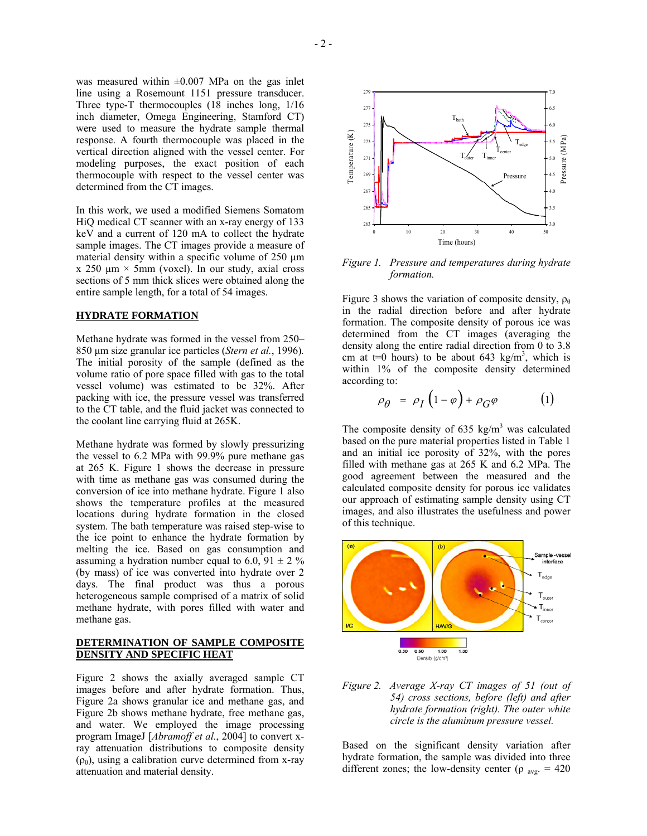was measured within  $\pm 0.007$  MPa on the gas inlet line using a Rosemount 1151 pressure transducer. Three type-T thermocouples (18 inches long, 1/16 inch diameter, Omega Engineering, Stamford CT) were used to measure the hydrate sample thermal response. A fourth thermocouple was placed in the vertical direction aligned with the vessel center. For modeling purposes, the exact position of each thermocouple with respect to the vessel center was determined from the CT images.

In this work, we used a modified Siemens Somatom HiQ medical CT scanner with an x-ray energy of 133 keV and a current of 120 mA to collect the hydrate sample images. The CT images provide a measure of material density within a specific volume of 250  $\mu$ m x 250  $\mu$ m  $\times$  5mm (voxel). In our study, axial cross sections of 5 mm thick slices were obtained along the entire sample length, for a total of 54 images.

#### **HYDRATE FORMATION**

Methane hydrate was formed in the vessel from 250– 850 µm size granular ice particles (*Stern et al.*, 1996)*.* The initial porosity of the sample (defined as the volume ratio of pore space filled with gas to the total vessel volume) was estimated to be 32%. After packing with ice, the pressure vessel was transferred to the CT table, and the fluid jacket was connected to the coolant line carrying fluid at 265K.

Methane hydrate was formed by slowly pressurizing the vessel to 6.2 MPa with 99.9% pure methane gas at 265 K. Figure 1 shows the decrease in pressure with time as methane gas was consumed during the conversion of ice into methane hydrate. Figure 1 also shows the temperature profiles at the measured locations during hydrate formation in the closed system. The bath temperature was raised step-wise to the ice point to enhance the hydrate formation by melting the ice. Based on gas consumption and assuming a hydration number equal to 6.0, 91  $\pm$  2 % (by mass) of ice was converted into hydrate over 2 days. The final product was thus a porous heterogeneous sample comprised of a matrix of solid methane hydrate, with pores filled with water and methane gas.

### **DETERMINATION OF SAMPLE COMPOSITE DENSITY AND SPECIFIC HEAT**

Figure 2 shows the axially averaged sample CT images before and after hydrate formation. Thus, Figure 2a shows granular ice and methane gas, and Figure 2b shows methane hydrate, free methane gas, and water. We employed the image processing program ImageJ [*Abramoff et al.*, 2004] to convert xray attenuation distributions to composite density  $(\rho_{\theta})$ , using a calibration curve determined from x-ray attenuation and material density.



*Figure 1. Pressure and temperatures during hydrate formation.* 

Figure 3 shows the variation of composite density,  $\rho_{\theta}$ in the radial direction before and after hydrate formation. The composite density of porous ice was determined from the CT images (averaging the density along the entire radial direction from 0 to 3.8 cm at  $t=0$  hours) to be about 643 kg/m<sup>3</sup>, which is within 1% of the composite density determined according to:

$$
\rho_{\theta} = \rho_I \left( 1 - \varphi \right) + \rho_G \varphi \tag{1}
$$

The composite density of 635 kg/m<sup>3</sup> was calculated based on the pure material properties listed in Table 1 and an initial ice porosity of 32%, with the pores filled with methane gas at 265 K and 6.2 MPa. The good agreement between the measured and the calculated composite density for porous ice validates our approach of estimating sample density using CT images, and also illustrates the usefulness and power of this technique.



*Figure 2. Average X-ray CT images of 51 (out of 54) cross sections, before (left) and after hydrate formation (right). The outer white circle is the aluminum pressure vessel.* 

Based on the significant density variation after hydrate formation, the sample was divided into three different zones; the low-density center ( $\rho$ <sub>avg.</sub> = 420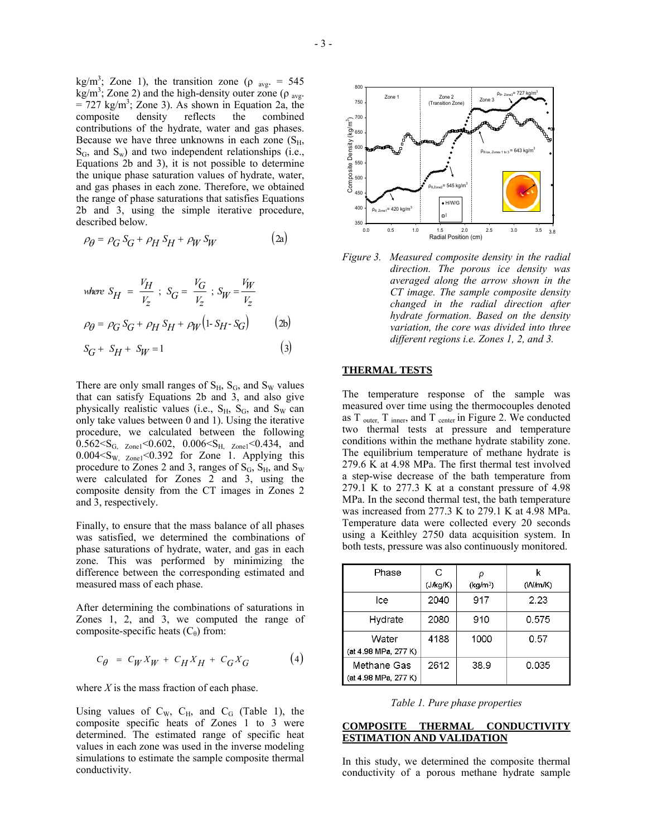kg/m<sup>3</sup>; Zone 1), the transition zone ( $\rho$  <sub>avg</sub>. = 545  $kg/m^3$ ; Zone 2) and the high-density outer zone ( $\rho$ <sub>avg</sub>.  $= 727$  kg/m<sup>3</sup>; Zone 3). As shown in Equation 2a, the composite density reflects the combined contributions of the hydrate, water and gas phases. Because we have three unknowns in each zone  $(S_H,$  $S_G$ , and  $S_w$ ) and two independent relationships (i.e., Equations 2b and 3), it is not possible to determine the unique phase saturation values of hydrate, water, and gas phases in each zone. Therefore, we obtained the range of phase saturations that satisfies Equations 2b and 3, using the simple iterative procedure, described below.

$$
\rho_{\theta} = \rho_G S_G + \rho_H S_H + \rho_W S_W \tag{2a}
$$

where 
$$
S_H = \frac{V_H}{V_Z}
$$
;  $S_G = \frac{V_G}{V_Z}$ ;  $S_W = \frac{V_W}{V_Z}$   
\n $\rho_\theta = \rho_G S_G + \rho_H S_H + \rho_W (1 - S_H - S_G)$  (2b)

$$
S_G + S_H + S_W = 1 \tag{3}
$$

There are only small ranges of  $S_H$ ,  $S_G$ , and  $S_W$  values that can satisfy Equations 2b and 3, and also give physically realistic values (i.e.,  $S_H$ ,  $S_G$ , and  $S_W$  can only take values between 0 and 1). Using the iterative procedure, we calculated between the following  $0.562 \le S_{\text{G}}$ ,  $_{\text{Zonel}} \le 0.602$ ,  $0.006 \le S_{\text{H}}$ ,  $_{\text{Zonel}} \le 0.434$ , and  $0.004 < S_{W}$  z<sub>one1</sub> < 0.392 for Zone 1. Applying this procedure to Zones 2 and 3, ranges of  $S_G$ ,  $S_H$ , and  $S_W$ were calculated for Zones 2 and 3, using the composite density from the CT images in Zones 2 and 3, respectively.

Finally, to ensure that the mass balance of all phases was satisfied, we determined the combinations of phase saturations of hydrate, water, and gas in each zone. This was performed by minimizing the difference between the corresponding estimated and measured mass of each phase.

After determining the combinations of saturations in Zones 1, 2, and 3, we computed the range of composite-specific heats  $(C_{\theta})$  from:

$$
C_{\theta} = C_W X_W + C_H X_H + C_G X_G \tag{4}
$$

where *X* is the mass fraction of each phase.

Using values of  $C_W$ ,  $C_H$ , and  $C_G$  (Table 1), the composite specific heats of Zones 1 to 3 were determined. The estimated range of specific heat values in each zone was used in the inverse modeling simulations to estimate the sample composite thermal conductivity.



*Figure 3. Measured composite density in the radial direction. The porous ice density was averaged along the arrow shown in the CT image. The sample composite density changed in the radial direction after hydrate formation. Based on the density variation, the core was divided into three different regions i.e. Zones 1, 2, and 3.* 

### **THERMAL TESTS**

The temperature response of the sample was measured over time using the thermocouples denoted as  $T_{\text{outer}}$ ,  $T_{\text{inner}}$ , and  $T_{\text{center}}$  in Figure 2. We conducted two thermal tests at pressure and temperature conditions within the methane hydrate stability zone. The equilibrium temperature of methane hydrate is 279.6 K at 4.98 MPa. The first thermal test involved a step-wise decrease of the bath temperature from  $279.1$  K to  $277.3$  K at a constant pressure of 4.98 MPa. In the second thermal test, the bath temperature was increased from 277.3 K to 279.1 K at 4.98 MPa. Temperature data were collected every 20 seconds using a Keithley 2750 data acquisition system. In both tests, pressure was also continuously monitored.

| Phase                               | C        |                      |         |
|-------------------------------------|----------|----------------------|---------|
|                                     | (J/kg/K) | (kg/m <sup>3</sup> ) | (W/m/K) |
| lce                                 | 2040     | 917                  | 2.23    |
| Hydrate                             | 2080     | 910                  | 0.575   |
| Water<br>(at 4.98 MPa, 277 K)       | 4188     | 1000                 | 0.57    |
| Methane Gas<br>(at 4.98 MPa, 277 K) | 2612     | 38.9                 | 0.035   |

*Table 1. Pure phase properties* 

### **COMPOSITE THERMAL CONDUCTIVITY ESTIMATION AND VALIDATION**

In this study, we determined the composite thermal conductivity of a porous methane hydrate sample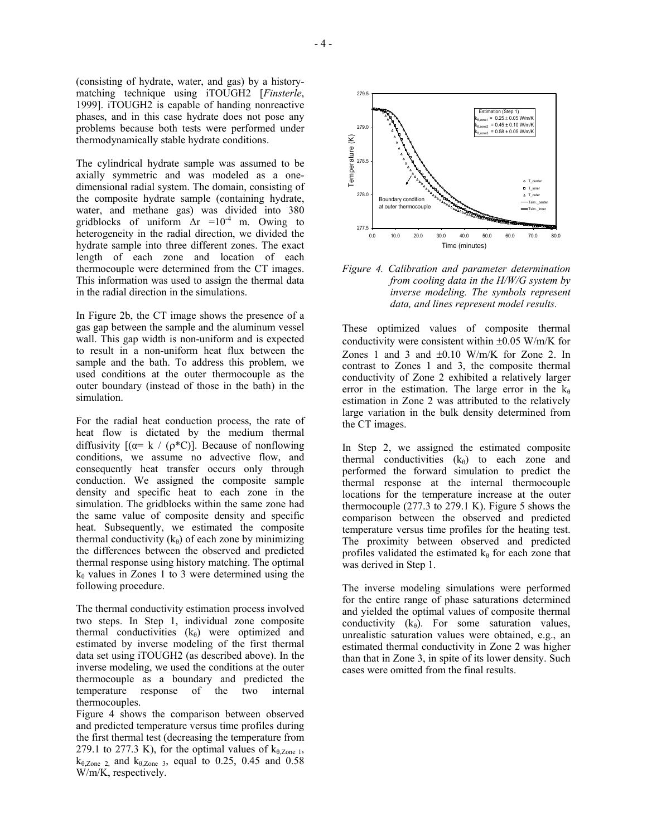(consisting of hydrate, water, and gas) by a historymatching technique using iTOUGH2 [*Finsterle*, 1999]. iTOUGH2 is capable of handing nonreactive phases, and in this case hydrate does not pose any problems because both tests were performed under thermodynamically stable hydrate conditions.

The cylindrical hydrate sample was assumed to be axially symmetric and was modeled as a onedimensional radial system. The domain, consisting of the composite hydrate sample (containing hydrate, water, and methane gas) was divided into 380 gridblocks of uniform  $\Delta r = 10^{-4}$  m. Owing to heterogeneity in the radial direction, we divided the hydrate sample into three different zones. The exact length of each zone and location of each thermocouple were determined from the CT images. This information was used to assign the thermal data in the radial direction in the simulations.

In Figure 2b, the CT image shows the presence of a gas gap between the sample and the aluminum vessel wall. This gap width is non-uniform and is expected to result in a non-uniform heat flux between the sample and the bath. To address this problem, we used conditions at the outer thermocouple as the outer boundary (instead of those in the bath) in the simulation.

For the radial heat conduction process, the rate of heat flow is dictated by the medium thermal diffusivity  $[(\alpha= k / (\rho^*C))]$ . Because of nonflowing conditions, we assume no advective flow, and consequently heat transfer occurs only through conduction. We assigned the composite sample density and specific heat to each zone in the simulation. The gridblocks within the same zone had the same value of composite density and specific heat. Subsequently, we estimated the composite thermal conductivity  $(k_{\theta})$  of each zone by minimizing the differences between the observed and predicted thermal response using history matching. The optimal  $k_{\theta}$  values in Zones 1 to 3 were determined using the following procedure.

The thermal conductivity estimation process involved two steps. In Step 1, individual zone composite thermal conductivities  $(k_{\theta})$  were optimized and estimated by inverse modeling of the first thermal data set using iTOUGH2 (as described above). In the inverse modeling, we used the conditions at the outer thermocouple as a boundary and predicted the temperature response of the two internal thermocouples.

Figure 4 shows the comparison between observed and predicted temperature versus time profiles during the first thermal test (decreasing the temperature from 279.1 to 277.3 K), for the optimal values of  $k_{\theta, Zone 1}$ ,  $k_{\theta,Zone}$  2, and  $k_{\theta,Zone}$  3, equal to 0.25, 0.45 and 0.58 W/m/K, respectively.



*Figure 4. Calibration and parameter determination from cooling data in the H/W/G system by inverse modeling. The symbols represent data, and lines represent model results.* 

These optimized values of composite thermal conductivity were consistent within  $\pm 0.05$  W/m/K for Zones 1 and 3 and  $\pm 0.10$  W/m/K for Zone 2. In contrast to Zones 1 and 3, the composite thermal conductivity of Zone 2 exhibited a relatively larger error in the estimation. The large error in the  $k_{\theta}$ estimation in Zone 2 was attributed to the relatively large variation in the bulk density determined from the CT images.

In Step 2, we assigned the estimated composite thermal conductivities  $(k_{\theta})$  to each zone and performed the forward simulation to predict the thermal response at the internal thermocouple locations for the temperature increase at the outer thermocouple (277.3 to 279.1 K). Figure 5 shows the comparison between the observed and predicted temperature versus time profiles for the heating test. The proximity between observed and predicted profiles validated the estimated  $k_{\theta}$  for each zone that was derived in Step 1.

The inverse modeling simulations were performed for the entire range of phase saturations determined and yielded the optimal values of composite thermal conductivity  $(k_\theta)$ . For some saturation values, unrealistic saturation values were obtained, e.g., an estimated thermal conductivity in Zone 2 was higher than that in Zone 3, in spite of its lower density. Such cases were omitted from the final results.